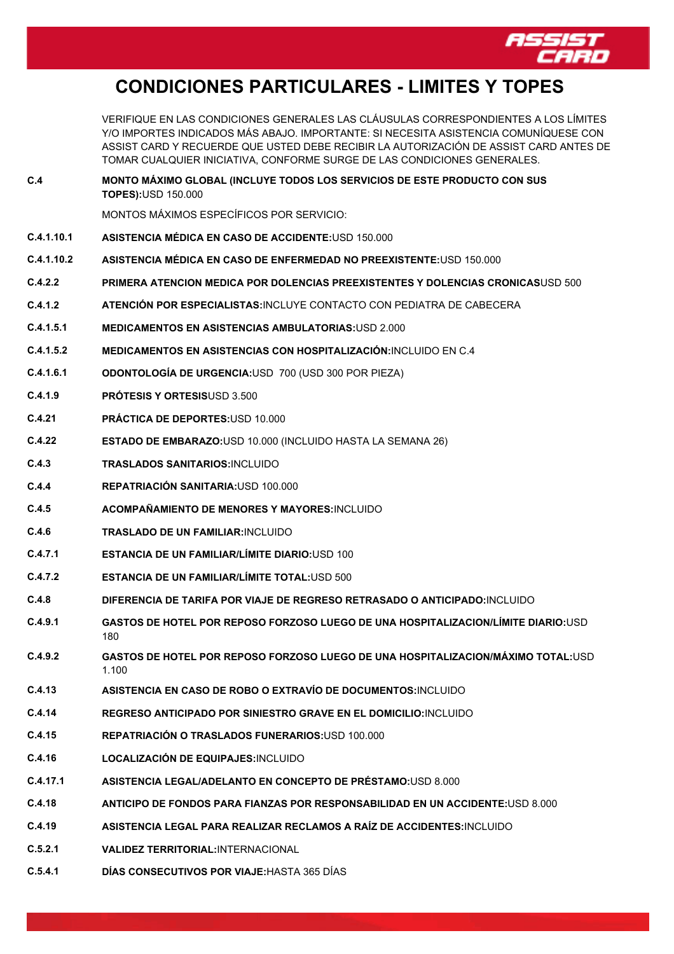

## **CONDICIONES PARTICULARES - LIMITES Y TOPES**

VERIFIQUE EN LAS CONDICIONES GENERALES LAS CLÁUSULAS CORRESPONDIENTES A LOS LÍMITES Y/O IMPORTES INDICADOS MÁS ABAJO. IMPORTANTE: SI NECESITA ASISTENCIA COMUNÍQUESE CON ASSIST CARD Y RECUERDE QUE USTED DEBE RECIBIR LA AUTORIZACIÓN DE ASSIST CARD ANTES DE TOMAR CUALQUIER INICIATIVA, CONFORME SURGE DE LAS CONDICIONES GENERALES.

**C.4 MONTO MÁXIMO GLOBAL (INCLUYE TODOS LOS SERVICIOS DE ESTE PRODUCTO CON SUS TOPES):**USD 150.000

MONTOS MÁXIMOS ESPECÍFICOS POR SERVICIO:

- **C.4.1.10.1 ASISTENCIA MÉDICA EN CASO DE ACCIDENTE:**USD 150.000
- **C.4.1.10.2 ASISTENCIA MÉDICA EN CASO DE ENFERMEDAD NO PREEXISTENTE:**USD 150.000
- **C.4.2.2 PRIMERA ATENCION MEDICA POR DOLENCIAS PREEXISTENTES Y DOLENCIAS CRONICAS**USD 500
- **C.4.1.2 ATENCIÓN POR ESPECIALISTAS:**INCLUYE CONTACTO CON PEDIATRA DE CABECERA
- **C.4.1.5.1 MEDICAMENTOS EN ASISTENCIAS AMBULATORIAS:**USD 2.000
- **C.4.1.5.2 MEDICAMENTOS EN ASISTENCIAS CON HOSPITALIZACIÓN:**INCLUIDO EN C.4
- **C.4.1.6.1 ODONTOLOGÍA DE URGENCIA:**USD 700 (USD 300 POR PIEZA)
- **C.4.1.9 PRÓTESIS Y ORTESIS**USD 3.500
- **C.4.21 PRÁCTICA DE DEPORTES:**USD 10.000
- **C.4.22 ESTADO DE EMBARAZO:**USD 10.000 (INCLUIDO HASTA LA SEMANA 26)
- **C.4.3 TRASLADOS SANITARIOS:**INCLUIDO
- **C.4.4 REPATRIACIÓN SANITARIA:**USD 100.000
- **C.4.5 ACOMPAÑAMIENTO DE MENORES Y MAYORES:**INCLUIDO
- **C.4.6 TRASLADO DE UN FAMILIAR:**INCLUIDO
- **C.4.7.1 ESTANCIA DE UN FAMILIAR/LÍMITE DIARIO:**USD 100
- **C.4.7.2 ESTANCIA DE UN FAMILIAR/LÍMITE TOTAL:**USD 500
- **C.4.8 DIFERENCIA DE TARIFA POR VIAJE DE REGRESO RETRASADO O ANTICIPADO:**INCLUIDO
- **C.4.9.1 GASTOS DE HOTEL POR REPOSO FORZOSO LUEGO DE UNA HOSPITALIZACION/LÍMITE DIARIO:**USD 180
- **C.4.9.2 GASTOS DE HOTEL POR REPOSO FORZOSO LUEGO DE UNA HOSPITALIZACION/MÁXIMO TOTAL:**USD 1.100
- **C.4.13 ASISTENCIA EN CASO DE ROBO O EXTRAVÍO DE DOCUMENTOS:**INCLUIDO
- **C.4.14 REGRESO ANTICIPADO POR SINIESTRO GRAVE EN EL DOMICILIO:**INCLUIDO
- **C.4.15 REPATRIACIÓN O TRASLADOS FUNERARIOS:**USD 100.000
- **C.4.16 LOCALIZACIÓN DE EQUIPAJES:**INCLUIDO
- **C.4.17.1 ASISTENCIA LEGAL/ADELANTO EN CONCEPTO DE PRÉSTAMO:**USD 8.000
- **C.4.18 ANTICIPO DE FONDOS PARA FIANZAS POR RESPONSABILIDAD EN UN ACCIDENTE:**USD 8.000
- **C.4.19 ASISTENCIA LEGAL PARA REALIZAR RECLAMOS A RAÍZ DE ACCIDENTES:**INCLUIDO
- **C.5.2.1 VALIDEZ TERRITORIAL:**INTERNACIONAL
- **C.5.4.1 DÍAS CONSECUTIVOS POR VIAJE:**HASTA 365 DÍAS